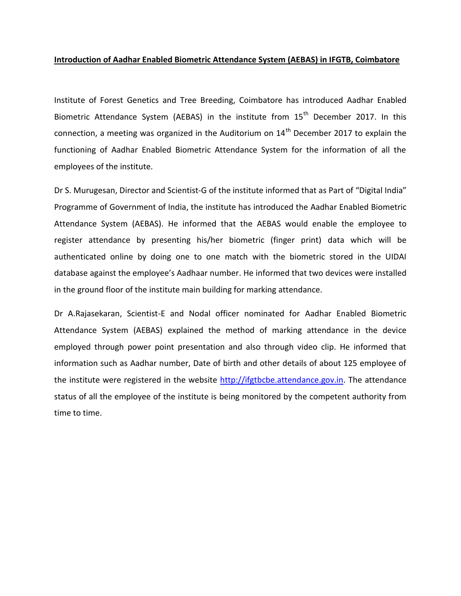## **Introduction of Aadhar Enabled Biometric Attendance System (AEBAS) in IFGTB, Coimbatore**

Institute of Forest Genetics and Tree Breeding, Coimbatore has introduced Aadhar Enabled Biometric Attendance System (AEBAS) in the institute from  $15<sup>th</sup>$  December 2017. In this connection, a meeting was organized in the Auditorium on  $14<sup>th</sup>$  December 2017 to explain the functioning of Aadhar Enabled Biometric Attendance System for the information of all the employees of the institute.

Dr S. Murugesan, Director and Scientist-G of the institute informed that as Part of "Digital India" Programme of Government of India, the institute has introduced the Aadhar Enabled Biometric Attendance System (AEBAS). He informed that the AEBAS would enable the employee to register attendance by presenting his/her biometric (finger print) data which will be authenticated online by doing one to one match with the biometric stored in the UIDAI database against the employee's Aadhaar number. He informed that two devices were installed in the ground floor of the institute main building for marking attendance.

Dr A.Rajasekaran, Scientist-E and Nodal officer nominated for Aadhar Enabled Biometric Attendance System (AEBAS) explained the method of marking attendance in the device employed through power point presentation and also through video clip. He informed that information such as Aadhar number, Date of birth and other details of about 125 employee of the institute were registered in the website [http://ifgtbcbe.attendance.gov.in.](http://ifgtbcbe.attendance.gov.in/) The attendance status of all the employee of the institute is being monitored by the competent authority from time to time.